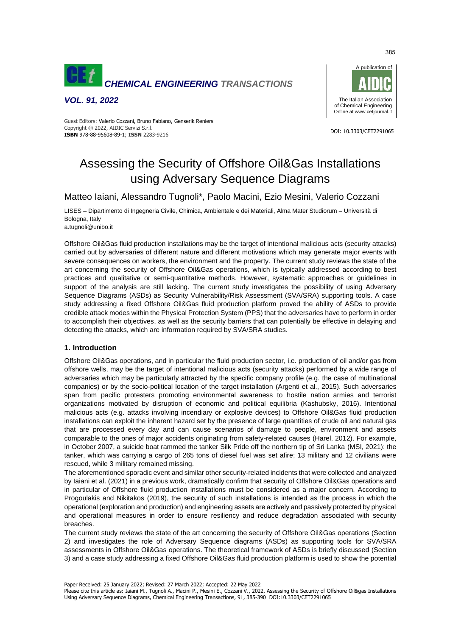

*VOL. 91, 2022*



#### DOI: 10.3303/CET2291065 **ISBN** 978-88-95608-89-1; **ISSN** 2283-9216 Guest Editors: Valerio Cozzani, Bruno Fabiano, Genserik Reniers Copyright © 2022, AIDIC Servizi S.r.l.

# Assessing the Security of Offshore Oil&Gas Installations using Adversary Sequence Diagrams

Matteo Iaiani, Alessandro Tugnoli\*, Paolo Macini, Ezio Mesini, Valerio Cozzani

LISES – Dipartimento di Ingegneria Civile, Chimica, Ambientale e dei Materiali, Alma Mater Studiorum – Università di Bologna, Italy

a.tugnoli@unibo.it

Offshore Oil&Gas fluid production installations may be the target of intentional malicious acts (security attacks) carried out by adversaries of different nature and different motivations which may generate major events with severe consequences on workers, the environment and the property. The current study reviews the state of the art concerning the security of Offshore Oil&Gas operations, which is typically addressed according to best practices and qualitative or semi-quantitative methods. However, systematic approaches or guidelines in support of the analysis are still lacking. The current study investigates the possibility of using Adversary Sequence Diagrams (ASDs) as Security Vulnerability/Risk Assessment (SVA/SRA) supporting tools. A case study addressing a fixed Offshore Oil&Gas fluid production platform proved the ability of ASDs to provide credible attack modes within the Physical Protection System (PPS) that the adversaries have to perform in order to accomplish their objectives, as well as the security barriers that can potentially be effective in delaying and detecting the attacks, which are information required by SVA/SRA studies.

### **1. Introduction**

Offshore Oil&Gas operations, and in particular the fluid production sector, i.e. production of oil and/or gas from offshore wells, may be the target of intentional malicious acts (security attacks) performed by a wide range of adversaries which may be particularly attracted by the specific company profile (e.g. the case of multinational companies) or by the socio-political location of the target installation (Argenti et al., 2015). Such adversaries span from pacific protesters promoting environmental awareness to hostile nation armies and terrorist organizations motivated by disruption of economic and political equilibria (Kashubsky, 2016). Intentional malicious acts (e.g. attacks involving incendiary or explosive devices) to Offshore Oil&Gas fluid production installations can exploit the inherent hazard set by the presence of large quantities of crude oil and natural gas that are processed every day and can cause scenarios of damage to people, environment and assets comparable to the ones of major accidents originating from safety-related causes (Harel, 2012). For example, in October 2007, a suicide boat rammed the tanker Silk Pride off the northern tip of Sri Lanka (MSI, 2021): the tanker, which was carrying a cargo of 265 tons of diesel fuel was set afire; 13 military and 12 civilians were rescued, while 3 military remained missing.

The aforementioned sporadic event and similar other security-related incidents that were collected and analyzed by Iaiani et al. (2021) in a previous work, dramatically confirm that security of Offshore Oil&Gas operations and in particular of Offshore fluid production installations must be considered as a major concern. According to Progoulakis and Nikitakos (2019), the security of such installations is intended as the process in which the operational (exploration and production) and engineering assets are actively and passively protected by physical and operational measures in order to ensure resiliency and reduce degradation associated with security breaches.

The current study reviews the state of the art concerning the security of Offshore Oil&Gas operations (Section 2) and investigates the role of Adversary Sequence diagrams (ASDs) as supporting tools for SVA/SRA assessments in Offshore Oil&Gas operations. The theoretical framework of ASDs is briefly discussed (Section 3) and a case study addressing a fixed Offshore Oil&Gas fluid production platform is used to show the potential

Paper Received: 25 January 2022; Revised: 27 March 2022; Accepted: 22 May 2022

385

Please cite this article as: Iaiani M., Tugnoli A., Macini P., Mesini E., Cozzani V., 2022, Assessing the Security of Offshore Oil&gas Installations Using Adversary Sequence Diagrams, Chemical Engineering Transactions, 91, 385-390 DOI:10.3303/CET2291065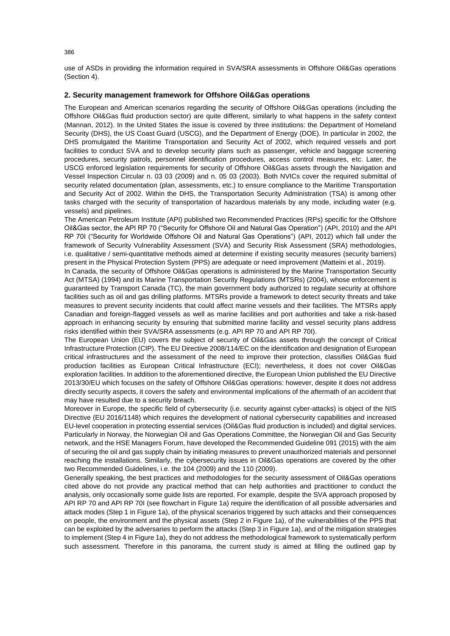use of ASDs in providing the information required in SVA/SRA assessments in Offshore Oil&Gas operations (Section 4).

## **2. Security management framework for Offshore Oil&Gas operations**

The European and American scenarios regarding the security of Offshore Oil&Gas operations (including the Offshore Oil&Gas fluid production sector) are quite different, similarly to what happens in the safety context (Mannan, 2012). In the United States the issue is covered by three institutions: the Department of Homeland Security (DHS), the US Coast Guard (USCG), and the Department of Energy (DOE). In particular in 2002, the DHS promulgated the Maritime Transportation and Security Act of 2002, which required vessels and port facilities to conduct SVA and to develop security plans such as passenger, vehicle and baggage screening procedures, security patrols, personnel identification procedures, access control measures, etc. Later, the USCG enforced legislation requirements for security of Offshore Oil&Gas assets through the Navigation and Vessel Inspection Circular n. 03 03 (2009) and n. 05 03 (2003). Both NVICs cover the required submittal of security related documentation (plan, assessments, etc.) to ensure compliance to the Maritime Transportation and Security Act of 2002. Within the DHS, the Transportation Security Administration (TSA) is among other tasks charged with the security of transportation of hazardous materials by any mode, including water (e.g. vessels) and pipelines.

The American Petroleum Institute (API) published two Recommended Practices (RPs) specific for the Offshore Oil&Gas sector, the API RP 70 ("Security for Offshore Oil and Natural Gas Operation") (API, 2010) and the API RP 70I ("Security for Worldwide Offshore Oil and Natural Gas Operations") (API, 2012) which fall under the framework of Security Vulnerability Assessment (SVA) and Security Risk Assessment (SRA) methodologies, i.e. qualitative / semi-quantitative methods aimed at determine if existing security measures (security barriers) present in the Physical Protection System (PPS) are adequate or need improvement (Matteini et al., 2019).

In Canada, the security of Offshore Oil&Gas operations is administered by the Marine Transportation Security Act (MTSA) (1994) and its Marine Transportation Security Regulations (MTSRs) (2004), whose enforcement is guaranteed by Transport Canada (TC), the main government body authorized to regulate security at offshore facilities such as oil and gas drilling platforms. MTSRs provide a framework to detect security threats and take measures to prevent security incidents that could affect marine vessels and their facilities. The MTSRs apply Canadian and foreign-flagged vessels as well as marine facilities and port authorities and take a risk-based approach in enhancing security by ensuring that submitted marine facility and vessel security plans address risks identified within their SVA/SRA assessments (e.g. API RP 70 and API RP 70I).

The European Union (EU) covers the subject of security of Oil&Gas assets through the concept of Critical Infrastructure Protection (CIP). The EU Directive 2008/114/EC on the identification and designation of European critical infrastructures and the assessment of the need to improve their protection, classifies Oil&Gas fluid production facilities as European Critical Infrastructure (ECI); nevertheless, it does not cover Oil&Gas exploration facilities. In addition to the aforementioned directive, the European Union published the EU Directive 2013/30/EU which focuses on the safety of Offshore Oil&Gas operations: however, despite it does not address directly security aspects, it covers the safety and environmental implications of the aftermath of an accident that may have resulted due to a security breach.

Moreover in Europe, the specific field of cybersecurity (i.e. security against cyber-attacks) is object of the NIS Directive (EU 2016/1148) which requires the development of national cybersecurity capabilities and increased EU-level cooperation in protecting essential services (Oil&Gas fluid production is included) and digital services. Particularly in Norway, the Norwegian Oil and Gas Operations Committee, the Norwegian Oil and Gas Security network, and the HSE Managers Forum, have developed the Recommended Guideline 091 (2015) with the aim of securing the oil and gas supply chain by initiating measures to prevent unauthorized materials and personnel reaching the installations. Similarly, the cybersecurity issues in Oil&Gas operations are covered by the other two Recommended Guidelines, i.e. the 104 (2009) and the 110 (2009).

Generally speaking, the best practices and methodologies for the security assessment of Oil&Gas operations cited above do not provide any practical method that can help authorities and practitioner to conduct the analysis, only occasionally some guide lists are reported. For example, despite the SVA approach proposed by API RP 70 and API RP 70I (see flowchart in Figure 1a) require the identification of all possible adversaries and attack modes (Step 1 in Figure 1a), of the physical scenarios triggered by such attacks and their consequences on people, the environment and the physical assets (Step 2 in Figure 1a), of the vulnerabilities of the PPS that can be exploited by the adversaries to perform the attacks (Step 3 in Figure 1a), and of the mitigation strategies to implement (Step 4 in Figure 1a), they do not address the methodological framework to systematically perform such assessment. Therefore in this panorama, the current study is aimed at filling the outlined gap by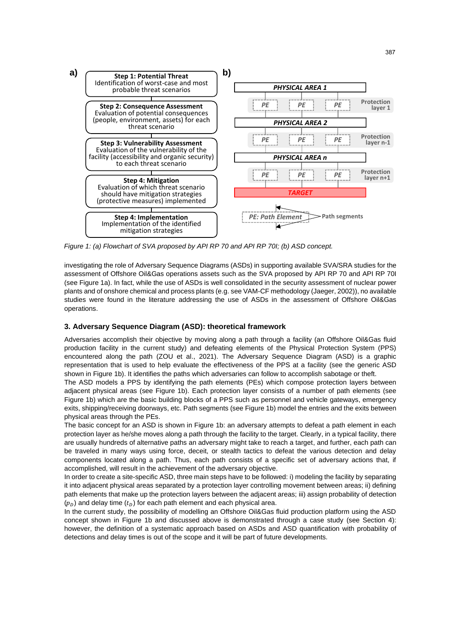

*Figure 1: (a) Flowchart of SVA proposed by API RP 70 and API RP 70I; (b) ASD concept.*

investigating the role of Adversary Sequence Diagrams (ASDs) in supporting available SVA/SRA studies for the assessment of Offshore Oil&Gas operations assets such as the SVA proposed by API RP 70 and API RP 70I (see Figure 1a). In fact, while the use of ASDs is well consolidated in the security assessment of nuclear power plants and of onshore chemical and process plants (e.g. see VAM-CF methodology (Jaeger, 2002)), no available studies were found in the literature addressing the use of ASDs in the assessment of Offshore Oil&Gas operations.

## **3. Adversary Sequence Diagram (ASD): theoretical framework**

Adversaries accomplish their objective by moving along a path through a facility (an Offshore Oil&Gas fluid production facility in the current study) and defeating elements of the Physical Protection System (PPS) encountered along the path (ZOU et al., 2021). The Adversary Sequence Diagram (ASD) is a graphic representation that is used to help evaluate the effectiveness of the PPS at a facility (see the generic ASD shown in Figure 1b). It identifies the paths which adversaries can follow to accomplish sabotage or theft.

The ASD models a PPS by identifying the path elements (PEs) which compose protection layers between adjacent physical areas (see Figure 1b). Each protection layer consists of a number of path elements (see Figure 1b) which are the basic building blocks of a PPS such as personnel and vehicle gateways, emergency exits, shipping/receiving doorways, etc. Path segments (see Figure 1b) model the entries and the exits between physical areas through the PEs.

The basic concept for an ASD is shown in Figure 1b: an adversary attempts to defeat a path element in each protection layer as he/she moves along a path through the facility to the target. Clearly, in a typical facility, there are usually hundreds of alternative paths an adversary might take to reach a target, and further, each path can be traveled in many ways using force, deceit, or stealth tactics to defeat the various detection and delay components located along a path. Thus, each path consists of a specific set of adversary actions that, if accomplished, will result in the achievement of the adversary objective.

In order to create a site-specific ASD, three main steps have to be followed: i) modeling the facility by separating it into adjacent physical areas separated by a protection layer controlling movement between areas; ii) defining path elements that make up the protection layers between the adjacent areas; iii) assign probability of detection  $(p<sub>D</sub>)$  and delay time  $(t<sub>D</sub>)$  for each path element and each physical area.

In the current study, the possibility of modelling an Offshore Oil&Gas fluid production platform using the ASD concept shown in Figure 1b and discussed above is demonstrated through a case study (see Section 4): however, the definition of a systematic approach based on ASDs and ASD quantification with probability of detections and delay times is out of the scope and it will be part of future developments.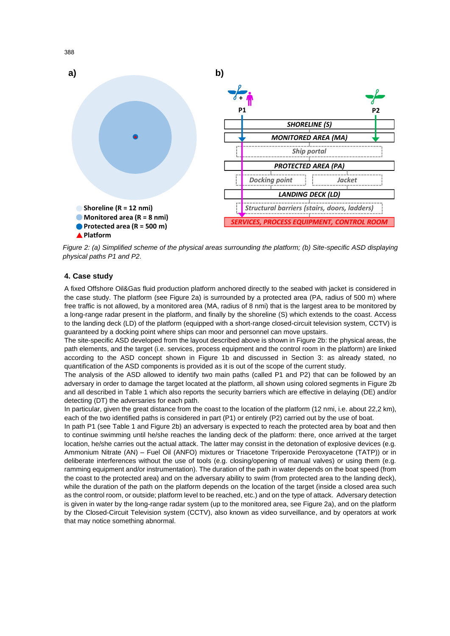

*Figure 2: (a) Simplified scheme of the physical areas surrounding the platform; (b) Site-specific ASD displaying physical paths P1 and P2.*

# **4. Case study**

A fixed Offshore Oil&Gas fluid production platform anchored directly to the seabed with jacket is considered in the case study. The platform (see Figure 2a) is surrounded by a protected area (PA, radius of 500 m) where free traffic is not allowed, by a monitored area (MA, radius of 8 nmi) that is the largest area to be monitored by a long-range radar present in the platform, and finally by the shoreline (S) which extends to the coast. Access to the landing deck (LD) of the platform (equipped with a short-range closed-circuit television system, CCTV) is guaranteed by a docking point where ships can moor and personnel can move upstairs.

The site-specific ASD developed from the layout described above is shown in Figure 2b: the physical areas, the path elements, and the target (i.e. services, process equipment and the control room in the platform) are linked according to the ASD concept shown in Figure 1b and discussed in Section 3: as already stated, no quantification of the ASD components is provided as it is out of the scope of the current study.

The analysis of the ASD allowed to identify two main paths (called P1 and P2) that can be followed by an adversary in order to damage the target located at the platform, all shown using colored segments in Figure 2b and all described in Table 1 which also reports the security barriers which are effective in delaying (DE) and/or detecting (DT) the adversaries for each path.

In particular, given the great distance from the coast to the location of the platform (12 nmi, i.e. about 22,2 km), each of the two identified paths is considered in part (P1) or entirely (P2) carried out by the use of boat.

In path P1 (see Table 1 and Figure 2b) an adversary is expected to reach the protected area by boat and then to continue swimming until he/she reaches the landing deck of the platform: there, once arrived at the target location, he/she carries out the actual attack. The latter may consist in the detonation of explosive devices (e.g. Ammonium Nitrate (AN) – Fuel Oil (ANFO) mixtures or Triacetone Triperoxide Peroxyacetone (TATP)) or in deliberate interferences without the use of tools (e.g. closing/opening of manual valves) or using them (e.g. ramming equipment and/or instrumentation). The duration of the path in water depends on the boat speed (from the coast to the protected area) and on the adversary ability to swim (from protected area to the landing deck), while the duration of the path on the platform depends on the location of the target (inside a closed area such as the control room, or outside; platform level to be reached, etc.) and on the type of attack. Adversary detection is given in water by the long-range radar system (up to the monitored area, see Figure 2a), and on the platform by the Closed-Circuit Television system (CCTV), also known as video surveillance, and by operators at work that may notice something abnormal.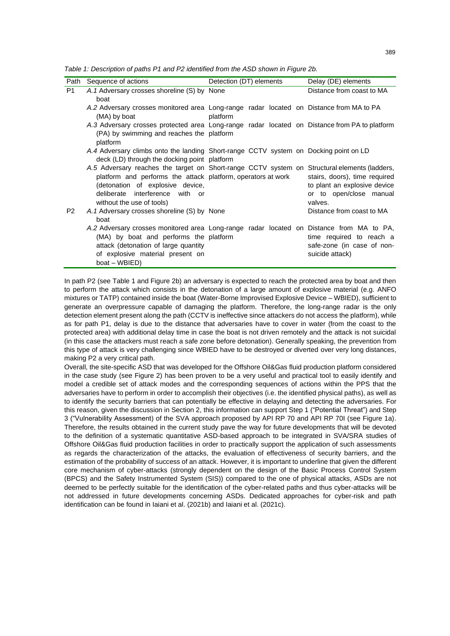*Table 1: Description of paths P1 and P2 identified from the ASD shown in Figure 2b.*

| Path           | Sequence of actions                                                                                                                                                                                                                                              | Detection (DT) elements | Delay (DE) elements                                                                                 |
|----------------|------------------------------------------------------------------------------------------------------------------------------------------------------------------------------------------------------------------------------------------------------------------|-------------------------|-----------------------------------------------------------------------------------------------------|
| P <sub>1</sub> | A.1 Adversary crosses shoreline (S) by None<br>boat                                                                                                                                                                                                              |                         | Distance from coast to MA                                                                           |
|                | A.2 Adversary crosses monitored area Long-range radar located on Distance from MA to PA<br>(MA) by boat                                                                                                                                                          | platform                |                                                                                                     |
|                | A.3 Adversary crosses protected area Long-range radar located on Distance from PA to platform<br>(PA) by swimming and reaches the platform<br>platform                                                                                                           |                         |                                                                                                     |
|                | A.4 Adversary climbs onto the landing Short-range CCTV system on Docking point on LD<br>deck (LD) through the docking point platform                                                                                                                             |                         |                                                                                                     |
|                | A.5 Adversary reaches the target on Short-range CCTV system on Structural elements (ladders,<br>platform and performs the attack platform, operators at work<br>(detonation of explosive device,<br>deliberate interference with or<br>without the use of tools) |                         | stairs, doors), time required<br>to plant an explosive device<br>or to open/close manual<br>valves. |
| P <sub>2</sub> | A.1 Adversary crosses shoreline (S) by None<br>boat                                                                                                                                                                                                              |                         | Distance from coast to MA                                                                           |
|                | A.2 Adversary crosses monitored area Long-range radar located on Distance from MA to PA,<br>(MA) by boat and performs the platform<br>attack (detonation of large quantity<br>of explosive material present on<br>boat – WBIED)                                  |                         | time required to reach a<br>safe-zone (in case of non-<br>suicide attack)                           |

In path P2 (see Table 1 and Figure 2b) an adversary is expected to reach the protected area by boat and then to perform the attack which consists in the detonation of a large amount of explosive material (e.g. ANFO mixtures or TATP) contained inside the boat (Water-Borne Improvised Explosive Device – WBIED), sufficient to generate an overpressure capable of damaging the platform. Therefore, the long-range radar is the only detection element present along the path (CCTV is ineffective since attackers do not access the platform), while as for path P1, delay is due to the distance that adversaries have to cover in water (from the coast to the protected area) with additional delay time in case the boat is not driven remotely and the attack is not suicidal (in this case the attackers must reach a safe zone before detonation). Generally speaking, the prevention from this type of attack is very challenging since WBIED have to be destroyed or diverted over very long distances, making P2 a very critical path.

Overall, the site-specific ASD that was developed for the Offshore Oil&Gas fluid production platform considered in the case study (see Figure 2) has been proven to be a very useful and practical tool to easily identify and model a credible set of attack modes and the corresponding sequences of actions within the PPS that the adversaries have to perform in order to accomplish their objectives (i.e. the identified physical paths), as well as to identify the security barriers that can potentially be effective in delaying and detecting the adversaries. For this reason, given the discussion in Section 2, this information can support Step 1 ("Potential Threat") and Step 3 ("Vulnerability Assessment) of the SVA approach proposed by API RP 70 and API RP 70I (see Figure 1a). Therefore, the results obtained in the current study pave the way for future developments that will be devoted to the definition of a systematic quantitative ASD-based approach to be integrated in SVA/SRA studies of Offshore Oil&Gas fluid production facilities in order to practically support the application of such assessments as regards the characterization of the attacks, the evaluation of effectiveness of security barriers, and the estimation of the probability of success of an attack. However, it is important to underline that given the different core mechanism of cyber-attacks (strongly dependent on the design of the Basic Process Control System (BPCS) and the Safety Instrumented System (SIS)) compared to the one of physical attacks, ASDs are not deemed to be perfectly suitable for the identification of the cyber-related paths and thus cyber-attacks will be not addressed in future developments concerning ASDs. Dedicated approaches for cyber-risk and path identification can be found in Iaiani et al. (2021b) and Iaiani et al. (2021c).